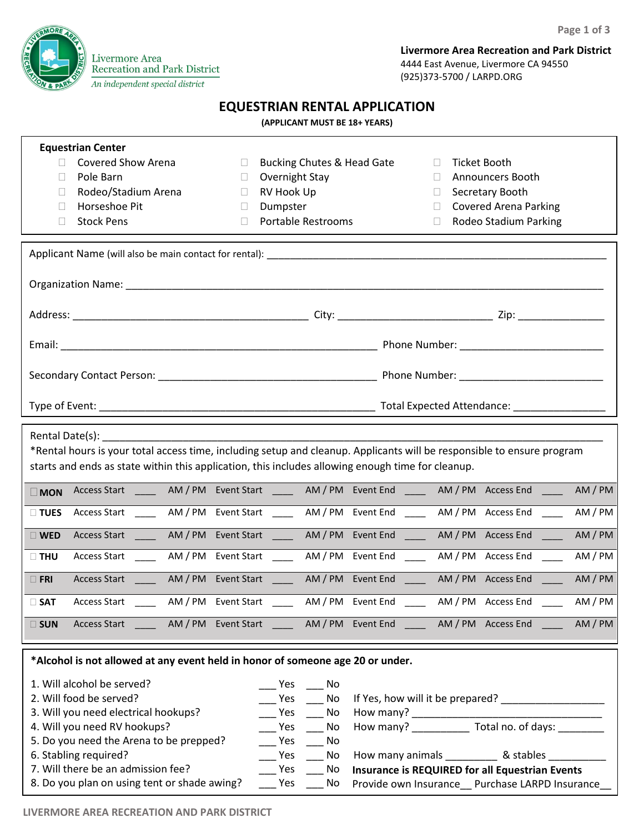**Page 1 of 3**



**Livermore Area Recreation and Park District** 4444 East Avenue, Livermore CA 94550 (925)373-5700 / LARPD.ORG

## **EQUESTRIAN RENTAL APPLICATION**

#### **(APPLICANT MUST BE 18+ YEARS)**

| <b>Equestrian Center</b>                                                                                                                                                                                                       |                                                                                                                        |                                                       |  |  |  |
|--------------------------------------------------------------------------------------------------------------------------------------------------------------------------------------------------------------------------------|------------------------------------------------------------------------------------------------------------------------|-------------------------------------------------------|--|--|--|
| <b>Covered Show Arena</b><br>$\Box$                                                                                                                                                                                            | <b>Bucking Chutes &amp; Head Gate</b><br>$\Box$                                                                        | <b>Ticket Booth</b><br>$\Box$                         |  |  |  |
| Pole Barn<br>П                                                                                                                                                                                                                 | Overnight Stay<br>$\Box$                                                                                               | Announcers Booth<br>$\Box$                            |  |  |  |
| Rodeo/Stadium Arena<br>П                                                                                                                                                                                                       | RV Hook Up<br>$\Box$                                                                                                   | Secretary Booth<br>$\mathbb{R}^n$                     |  |  |  |
| Horseshoe Pit<br>П                                                                                                                                                                                                             | Dumpster<br>$\Box$                                                                                                     | <b>Covered Arena Parking</b><br>$\Box$                |  |  |  |
| <b>Stock Pens</b><br>$\Box$                                                                                                                                                                                                    | <b>Portable Restrooms</b><br>$\mathbb{R}^n$                                                                            | Rodeo Stadium Parking<br>$\Box$                       |  |  |  |
|                                                                                                                                                                                                                                |                                                                                                                        |                                                       |  |  |  |
|                                                                                                                                                                                                                                |                                                                                                                        |                                                       |  |  |  |
|                                                                                                                                                                                                                                |                                                                                                                        |                                                       |  |  |  |
|                                                                                                                                                                                                                                |                                                                                                                        |                                                       |  |  |  |
|                                                                                                                                                                                                                                |                                                                                                                        |                                                       |  |  |  |
|                                                                                                                                                                                                                                |                                                                                                                        |                                                       |  |  |  |
|                                                                                                                                                                                                                                |                                                                                                                        |                                                       |  |  |  |
|                                                                                                                                                                                                                                |                                                                                                                        |                                                       |  |  |  |
|                                                                                                                                                                                                                                |                                                                                                                        |                                                       |  |  |  |
|                                                                                                                                                                                                                                |                                                                                                                        |                                                       |  |  |  |
|                                                                                                                                                                                                                                |                                                                                                                        |                                                       |  |  |  |
|                                                                                                                                                                                                                                |                                                                                                                        |                                                       |  |  |  |
| Rental Date(s): Note that the set of the set of the set of the set of the set of the set of the set of the set of the set of the set of the set of the set of the set of the set of the set of the set of the set of the set o |                                                                                                                        |                                                       |  |  |  |
|                                                                                                                                                                                                                                | *Rental hours is your total access time, including setup and cleanup. Applicants will be responsible to ensure program |                                                       |  |  |  |
|                                                                                                                                                                                                                                | starts and ends as state within this application, this includes allowing enough time for cleanup.                      |                                                       |  |  |  |
|                                                                                                                                                                                                                                |                                                                                                                        |                                                       |  |  |  |
| $\square$ MON                                                                                                                                                                                                                  | Access Start _______ AM / PM Event Start _______ AM / PM Event End ______ AM / PM Access End _____                     | AM / PM                                               |  |  |  |
| $\Box$ TUES                                                                                                                                                                                                                    | Access Start ________ AM / PM Event Start _______ AM / PM Event End ______ AM / PM Access End                          | AM / PM<br>$\frac{1}{2}$                              |  |  |  |
|                                                                                                                                                                                                                                |                                                                                                                        |                                                       |  |  |  |
| $\square$ WED                                                                                                                                                                                                                  | Access Start ______ AM / PM Event Start _____ AM / PM Event End ____ AM / PM Access End ____                           | AM/PM                                                 |  |  |  |
| $\Box$ THU                                                                                                                                                                                                                     | Access Start MM / PM Event Start MM / PM Event End MM / PM Access End                                                  | AM / PM                                               |  |  |  |
|                                                                                                                                                                                                                                |                                                                                                                        |                                                       |  |  |  |
| $\Box$ FRI                                                                                                                                                                                                                     | Access Start MM / PM Event Start MM / PM Event End AM / PM Access End AM / PM                                          |                                                       |  |  |  |
| Access Start AM / PM Event Start<br>$\square$ SAT                                                                                                                                                                              |                                                                                                                        | AM / PM Event End _____ AM / PM Access End<br>AM / PM |  |  |  |
|                                                                                                                                                                                                                                |                                                                                                                        |                                                       |  |  |  |
| $\square$ SUN<br>Access Start                                                                                                                                                                                                  | AM / PM Event Start ________ AM / PM Event End _______ AM / PM Access End                                              | AM/PM                                                 |  |  |  |
|                                                                                                                                                                                                                                |                                                                                                                        |                                                       |  |  |  |
| *Alcohol is not allowed at any event held in honor of someone age 20 or under.                                                                                                                                                 |                                                                                                                        |                                                       |  |  |  |
| 1. Will alcohol be served?                                                                                                                                                                                                     | _ Yes ____ No                                                                                                          |                                                       |  |  |  |
|                                                                                                                                                                                                                                |                                                                                                                        |                                                       |  |  |  |

| 2. Will food be served?                      | Yes | No.   | If Yes, how will it be prepared?                |  |
|----------------------------------------------|-----|-------|-------------------------------------------------|--|
| 3. Will you need electrical hookups?         | Yes | No.   | How many?                                       |  |
| 4. Will you need RV hookups?                 | Yes | No.   | Total no. of days:<br>How many?                 |  |
| 5. Do you need the Arena to be prepped?      | Yes | No No |                                                 |  |
| 6. Stabling required?                        | Yes | No.   | How many animals<br>& stables                   |  |
| 7. Will there be an admission fee?           | Yes | No.   | Insurance is REQUIRED for all Equestrian Events |  |
| 8. Do you plan on using tent or shade awing? | Yes | No.   | Provide own Insurance Purchase LARPD Insurance  |  |

**LIVERMORE AREA RECREATION AND PARK DISTRICT**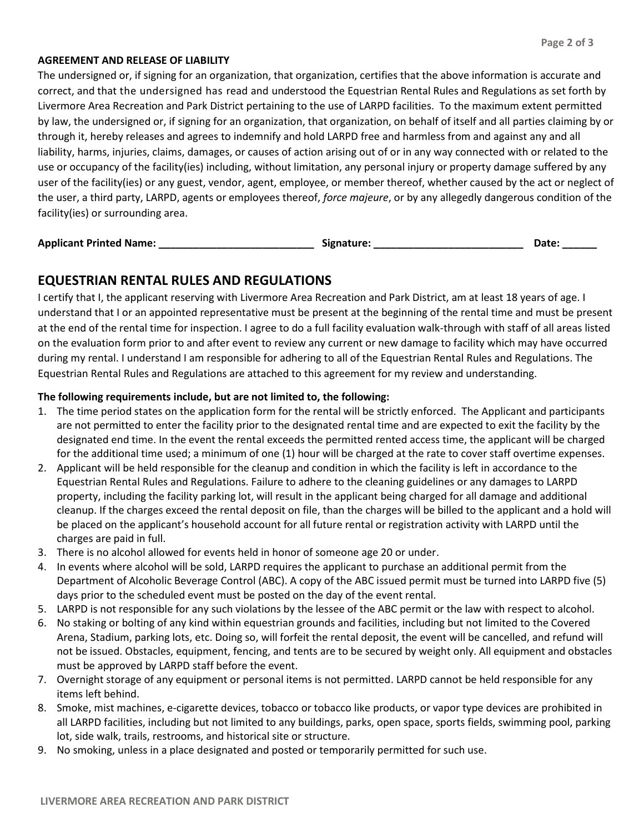### **AGREEMENT AND RELEASE OF LIABILITY**

The undersigned or, if signing for an organization, that organization, certifies that the above information is accurate and correct, and that the undersigned has read and understood the Equestrian Rental Rules and Regulations as set forth by Livermore Area Recreation and Park District pertaining to the use of LARPD facilities. To the maximum extent permitted by law, the undersigned or, if signing for an organization, that organization, on behalf of itself and all parties claiming by or through it, hereby releases and agrees to indemnify and hold LARPD free and harmless from and against any and all liability, harms, injuries, claims, damages, or causes of action arising out of or in any way connected with or related to the use or occupancy of the facility(ies) including, without limitation, any personal injury or property damage suffered by any user of the facility(ies) or any guest, vendor, agent, employee, or member thereof, whether caused by the act or neglect of the user, a third party, LARPD, agents or employees thereof, *force majeure*, or by any allegedly dangerous condition of the facility(ies) or surrounding area.

| <b>Applicant Printed Name:</b> |  | Signature: | Date: |
|--------------------------------|--|------------|-------|
|--------------------------------|--|------------|-------|

# **EQUESTRIAN RENTAL RULES AND REGULATIONS**

I certify that I, the applicant reserving with Livermore Area Recreation and Park District, am at least 18 years of age. I understand that I or an appointed representative must be present at the beginning of the rental time and must be present at the end of the rental time for inspection. I agree to do a full facility evaluation walk-through with staff of all areas listed on the evaluation form prior to and after event to review any current or new damage to facility which may have occurred during my rental. I understand I am responsible for adhering to all of the Equestrian Rental Rules and Regulations. The Equestrian Rental Rules and Regulations are attached to this agreement for my review and understanding.

### **The following requirements include, but are not limited to, the following:**

- 1. The time period states on the application form for the rental will be strictly enforced. The Applicant and participants are not permitted to enter the facility prior to the designated rental time and are expected to exit the facility by the designated end time. In the event the rental exceeds the permitted rented access time, the applicant will be charged for the additional time used; a minimum of one (1) hour will be charged at the rate to cover staff overtime expenses.
- 2. Applicant will be held responsible for the cleanup and condition in which the facility is left in accordance to the Equestrian Rental Rules and Regulations. Failure to adhere to the cleaning guidelines or any damages to LARPD property, including the facility parking lot, will result in the applicant being charged for all damage and additional cleanup. If the charges exceed the rental deposit on file, than the charges will be billed to the applicant and a hold will be placed on the applicant's household account for all future rental or registration activity with LARPD until the charges are paid in full.
- 3. There is no alcohol allowed for events held in honor of someone age 20 or under.
- 4. In events where alcohol will be sold, LARPD requires the applicant to purchase an additional permit from the Department of Alcoholic Beverage Control (ABC). A copy of the ABC issued permit must be turned into LARPD five (5) days prior to the scheduled event must be posted on the day of the event rental.
- 5. LARPD is not responsible for any such violations by the lessee of the ABC permit or the law with respect to alcohol.
- 6. No staking or bolting of any kind within equestrian grounds and facilities, including but not limited to the Covered Arena, Stadium, parking lots, etc. Doing so, will forfeit the rental deposit, the event will be cancelled, and refund will not be issued. Obstacles, equipment, fencing, and tents are to be secured by weight only. All equipment and obstacles must be approved by LARPD staff before the event.
- 7. Overnight storage of any equipment or personal items is not permitted. LARPD cannot be held responsible for any items left behind.
- 8. Smoke, mist machines, e-cigarette devices, tobacco or tobacco like products, or vapor type devices are prohibited in all LARPD facilities, including but not limited to any buildings, parks, open space, sports fields, swimming pool, parking lot, side walk, trails, restrooms, and historical site or structure.
- 9. No smoking, unless in a place designated and posted or temporarily permitted for such use.